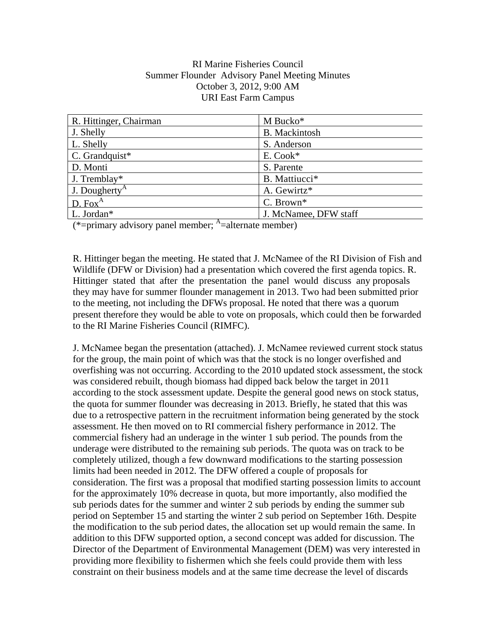#### RI Marine Fisheries Council Summer Flounder Advisory Panel Meeting Minutes October 3, 2012, 9:00 AM URI East Farm Campus

| R. Hittinger, Chairman    | M Bucko*              |
|---------------------------|-----------------------|
| J. Shelly                 | <b>B.</b> Mackintosh  |
| L. Shelly                 | S. Anderson           |
| C. Grandquist*            | E. Cook*              |
| D. Monti                  | S. Parente            |
| $\vert$ J. Tremblay*      | B. Mattiucci*         |
| J. Dougherty <sup>A</sup> | A. Gewirtz*           |
| D. Fox <sup>A</sup>       | C. Brown*             |
| L. Jordan*                | J. McNamee, DFW staff |
|                           |                       |

(\*=primary advisory panel member;  $A$  = alternate member)

R. Hittinger began the meeting. He stated that J. McNamee of the RI Division of Fish and Wildlife (DFW or Division) had a presentation which covered the first agenda topics. R. Hittinger stated that after the presentation the panel would discuss any proposals they may have for summer flounder management in 2013. Two had been submitted prior to the meeting, not including the DFWs proposal. He noted that there was a quorum present therefore they would be able to vote on proposals, which could then be forwarded to the RI Marine Fisheries Council (RIMFC).

J. McNamee began the presentation (attached). J. McNamee reviewed current stock status for the group, the main point of which was that the stock is no longer overfished and overfishing was not occurring. According to the 2010 updated stock assessment, the stock was considered rebuilt, though biomass had dipped back below the target in 2011 according to the stock assessment update. Despite the general good news on stock status, the quota for summer flounder was decreasing in 2013. Briefly, he stated that this was due to a retrospective pattern in the recruitment information being generated by the stock assessment. He then moved on to RI commercial fishery performance in 2012. The commercial fishery had an underage in the winter 1 sub period. The pounds from the underage were distributed to the remaining sub periods. The quota was on track to be completely utilized, though a few downward modifications to the starting possession limits had been needed in 2012. The DFW offered a couple of proposals for consideration. The first was a proposal that modified starting possession limits to account for the approximately 10% decrease in quota, but more importantly, also modified the sub periods dates for the summer and winter 2 sub periods by ending the summer sub period on September 15 and starting the winter 2 sub period on September 16th. Despite the modification to the sub period dates, the allocation set up would remain the same. In addition to this DFW supported option, a second concept was added for discussion. The Director of the Department of Environmental Management (DEM) was very interested in providing more flexibility to fishermen which she feels could provide them with less constraint on their business models and at the same time decrease the level of discards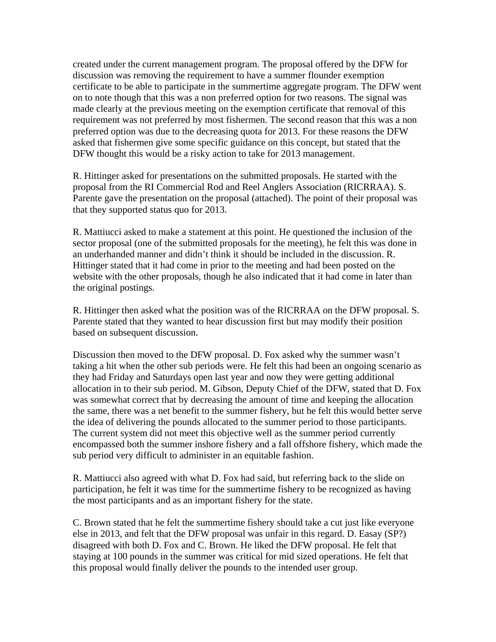created under the current management program. The proposal offered by the DFW for discussion was removing the requirement to have a summer flounder exemption certificate to be able to participate in the summertime aggregate program. The DFW went on to note though that this was a non preferred option for two reasons. The signal was made clearly at the previous meeting on the exemption certificate that removal of this requirement was not preferred by most fishermen. The second reason that this was a non preferred option was due to the decreasing quota for 2013. For these reasons the DFW asked that fishermen give some specific guidance on this concept, but stated that the DFW thought this would be a risky action to take for 2013 management.

R. Hittinger asked for presentations on the submitted proposals. He started with the proposal from the RI Commercial Rod and Reel Anglers Association (RICRRAA). S. Parente gave the presentation on the proposal (attached). The point of their proposal was that they supported status quo for 2013.

R. Mattiucci asked to make a statement at this point. He questioned the inclusion of the sector proposal (one of the submitted proposals for the meeting), he felt this was done in an underhanded manner and didn't think it should be included in the discussion. R. Hittinger stated that it had come in prior to the meeting and had been posted on the website with the other proposals, though he also indicated that it had come in later than the original postings.

R. Hittinger then asked what the position was of the RICRRAA on the DFW proposal. S. Parente stated that they wanted to hear discussion first but may modify their position based on subsequent discussion.

Discussion then moved to the DFW proposal. D. Fox asked why the summer wasn't taking a hit when the other sub periods were. He felt this had been an ongoing scenario as they had Friday and Saturdays open last year and now they were getting additional allocation in to their sub period. M. Gibson, Deputy Chief of the DFW, stated that D. Fox was somewhat correct that by decreasing the amount of time and keeping the allocation the same, there was a net benefit to the summer fishery, but he felt this would better serve the idea of delivering the pounds allocated to the summer period to those participants. The current system did not meet this objective well as the summer period currently encompassed both the summer inshore fishery and a fall offshore fishery, which made the sub period very difficult to administer in an equitable fashion.

R. Mattiucci also agreed with what D. Fox had said, but referring back to the slide on participation, he felt it was time for the summertime fishery to be recognized as having the most participants and as an important fishery for the state.

C. Brown stated that he felt the summertime fishery should take a cut just like everyone else in 2013, and felt that the DFW proposal was unfair in this regard. D. Easay (SP?) disagreed with both D. Fox and C. Brown. He liked the DFW proposal. He felt that staying at 100 pounds in the summer was critical for mid sized operations. He felt that this proposal would finally deliver the pounds to the intended user group.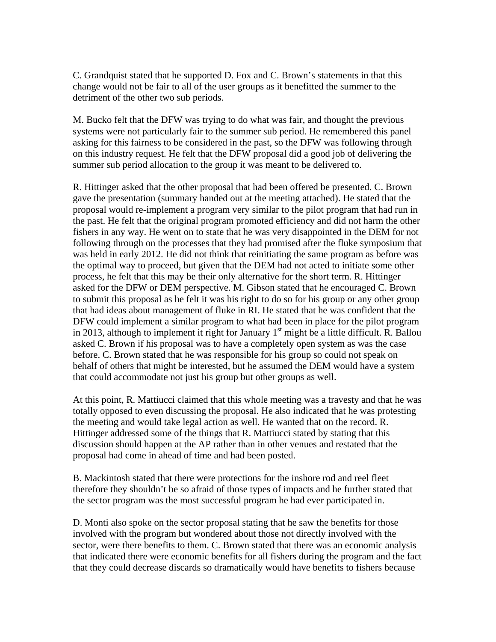C. Grandquist stated that he supported D. Fox and C. Brown's statements in that this change would not be fair to all of the user groups as it benefitted the summer to the detriment of the other two sub periods.

M. Bucko felt that the DFW was trying to do what was fair, and thought the previous systems were not particularly fair to the summer sub period. He remembered this panel asking for this fairness to be considered in the past, so the DFW was following through on this industry request. He felt that the DFW proposal did a good job of delivering the summer sub period allocation to the group it was meant to be delivered to.

R. Hittinger asked that the other proposal that had been offered be presented. C. Brown gave the presentation (summary handed out at the meeting attached). He stated that the proposal would re-implement a program very similar to the pilot program that had run in the past. He felt that the original program promoted efficiency and did not harm the other fishers in any way. He went on to state that he was very disappointed in the DEM for not following through on the processes that they had promised after the fluke symposium that was held in early 2012. He did not think that reinitiating the same program as before was the optimal way to proceed, but given that the DEM had not acted to initiate some other process, he felt that this may be their only alternative for the short term. R. Hittinger asked for the DFW or DEM perspective. M. Gibson stated that he encouraged C. Brown to submit this proposal as he felt it was his right to do so for his group or any other group that had ideas about management of fluke in RI. He stated that he was confident that the DFW could implement a similar program to what had been in place for the pilot program in 2013, although to implement it right for January  $1<sup>st</sup>$  might be a little difficult. R. Ballou asked C. Brown if his proposal was to have a completely open system as was the case before. C. Brown stated that he was responsible for his group so could not speak on behalf of others that might be interested, but he assumed the DEM would have a system that could accommodate not just his group but other groups as well.

At this point, R. Mattiucci claimed that this whole meeting was a travesty and that he was totally opposed to even discussing the proposal. He also indicated that he was protesting the meeting and would take legal action as well. He wanted that on the record. R. Hittinger addressed some of the things that R. Mattiucci stated by stating that this discussion should happen at the AP rather than in other venues and restated that the proposal had come in ahead of time and had been posted.

B. Mackintosh stated that there were protections for the inshore rod and reel fleet therefore they shouldn't be so afraid of those types of impacts and he further stated that the sector program was the most successful program he had ever participated in.

D. Monti also spoke on the sector proposal stating that he saw the benefits for those involved with the program but wondered about those not directly involved with the sector, were there benefits to them. C. Brown stated that there was an economic analysis that indicated there were economic benefits for all fishers during the program and the fact that they could decrease discards so dramatically would have benefits to fishers because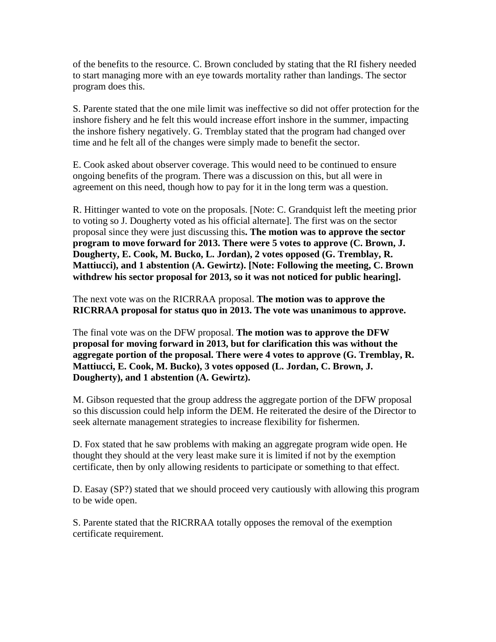of the benefits to the resource. C. Brown concluded by stating that the RI fishery needed to start managing more with an eye towards mortality rather than landings. The sector program does this.

S. Parente stated that the one mile limit was ineffective so did not offer protection for the inshore fishery and he felt this would increase effort inshore in the summer, impacting the inshore fishery negatively. G. Tremblay stated that the program had changed over time and he felt all of the changes were simply made to benefit the sector.

E. Cook asked about observer coverage. This would need to be continued to ensure ongoing benefits of the program. There was a discussion on this, but all were in agreement on this need, though how to pay for it in the long term was a question.

R. Hittinger wanted to vote on the proposals. [Note: C. Grandquist left the meeting prior to voting so J. Dougherty voted as his official alternate]. The first was on the sector proposal since they were just discussing this**. The motion was to approve the sector program to move forward for 2013. There were 5 votes to approve (C. Brown, J. Dougherty, E. Cook, M. Bucko, L. Jordan), 2 votes opposed (G. Tremblay, R. Mattiucci), and 1 abstention (A. Gewirtz). [Note: Following the meeting, C. Brown withdrew his sector proposal for 2013, so it was not noticed for public hearing].** 

The next vote was on the RICRRAA proposal. **The motion was to approve the RICRRAA proposal for status quo in 2013. The vote was unanimous to approve.**

The final vote was on the DFW proposal. **The motion was to approve the DFW proposal for moving forward in 2013, but for clarification this was without the aggregate portion of the proposal. There were 4 votes to approve (G. Tremblay, R. Mattiucci, E. Cook, M. Bucko), 3 votes opposed (L. Jordan, C. Brown, J. Dougherty), and 1 abstention (A. Gewirtz).**

M. Gibson requested that the group address the aggregate portion of the DFW proposal so this discussion could help inform the DEM. He reiterated the desire of the Director to seek alternate management strategies to increase flexibility for fishermen.

D. Fox stated that he saw problems with making an aggregate program wide open. He thought they should at the very least make sure it is limited if not by the exemption certificate, then by only allowing residents to participate or something to that effect.

D. Easay (SP?) stated that we should proceed very cautiously with allowing this program to be wide open.

S. Parente stated that the RICRRAA totally opposes the removal of the exemption certificate requirement.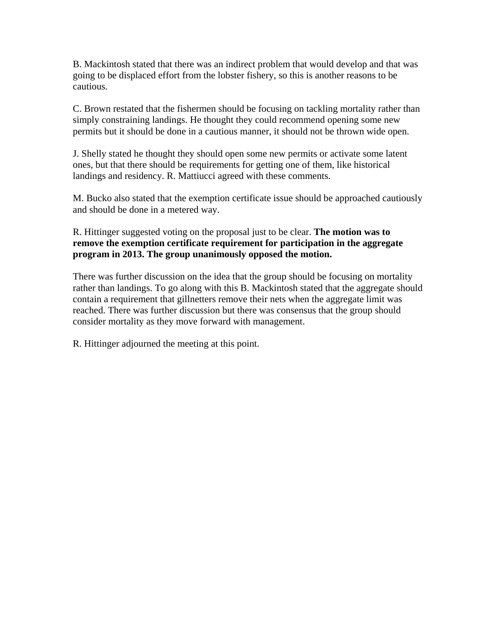B. Mackintosh stated that there was an indirect problem that would develop and that was going to be displaced effort from the lobster fishery, so this is another reasons to be cautious.

C. Brown restated that the fishermen should be focusing on tackling mortality rather than simply constraining landings. He thought they could recommend opening some new permits but it should be done in a cautious manner, it should not be thrown wide open.

J. Shelly stated he thought they should open some new permits or activate some latent ones, but that there should be requirements for getting one of them, like historical landings and residency. R. Mattiucci agreed with these comments.

M. Bucko also stated that the exemption certificate issue should be approached cautiously and should be done in a metered way.

R. Hittinger suggested voting on the proposal just to be clear. **The motion was to remove the exemption certificate requirement for participation in the aggregate program in 2013. The group unanimously opposed the motion.** 

There was further discussion on the idea that the group should be focusing on mortality rather than landings. To go along with this B. Mackintosh stated that the aggregate should contain a requirement that gillnetters remove their nets when the aggregate limit was reached. There was further discussion but there was consensus that the group should consider mortality as they move forward with management.

R. Hittinger adjourned the meeting at this point.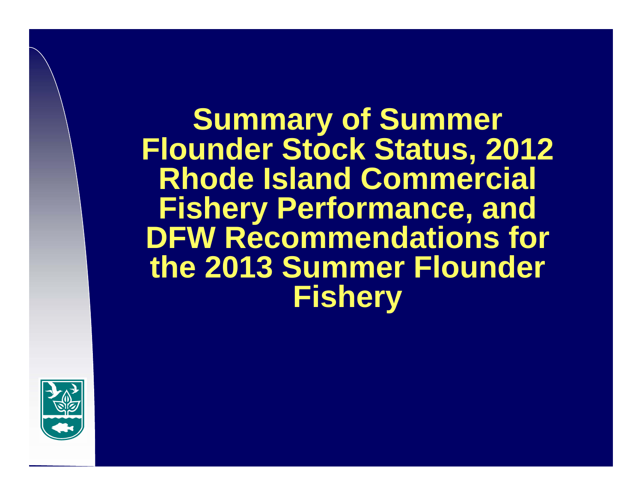**Summary of Summer Flounder Stock Status, 2012 Rhode Island Commercial Fishery Performance, and DFW Recommendations for the 2013 Summer Flounder Fishery**

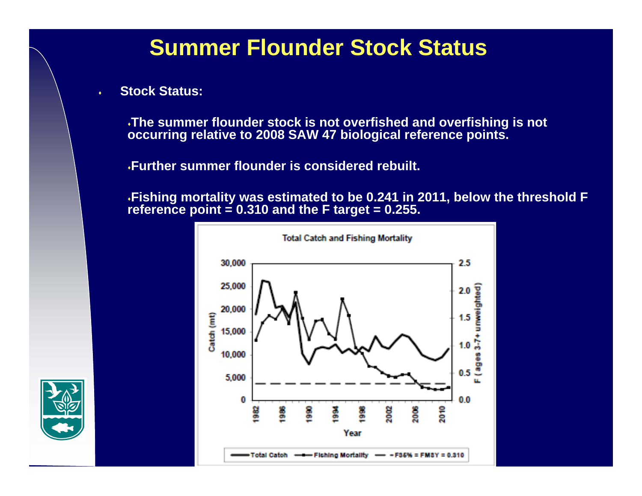## **Summer Flounder Stock Status**

**Stock Status:**

 $\bullet$ 

**The summer flounder stock is not overfished and overfishing is not occurring relative to 2008 SAW 47 biological reference points.** 

**Further summer flounder is considered rebuilt.**

**Fishing mortality was estimated to be 0.241 in 2011, below the threshold F reference point = 0.310 and the F target = 0.255.** 



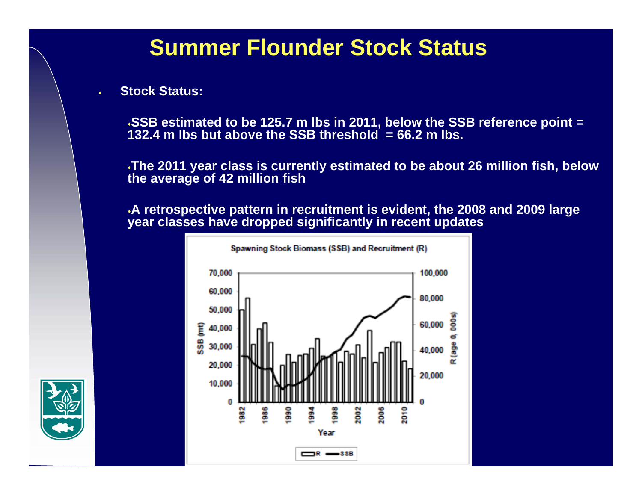## **Summer Flounder Stock Status**

**Stock Status:**

 $\bullet$ 

**SSB estimated to be 125.7 m lbs in 2011, below the SSB reference point = 132.4 m lbs but above the SSB threshold = 66.2 m lbs.** 

**The 2011 year class is currently estimated to be about 26 million fish, below the average of 42 million fish**

**A retrospective pattern in recruitment is evident, the 2008 and 2009 large year classes have dropped significantly in recent updates**



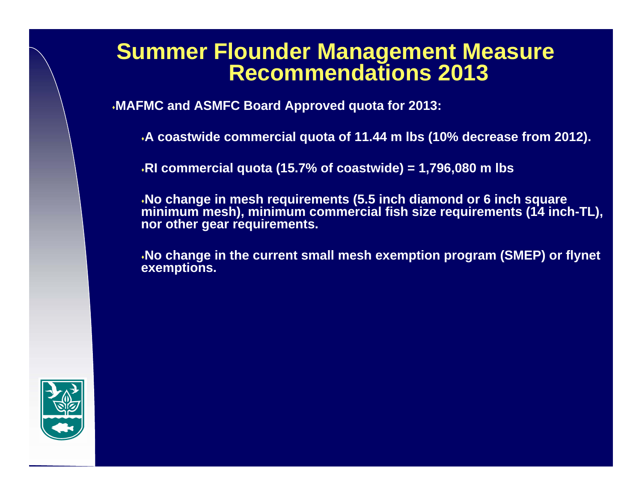#### **Summer Flounder Management Measure Recommendations 2013**

**MAFMC and ASMFC Board Approved quota for 2013:**

**A coastwide commercial quota of 11.44 m lbs (10% decrease from 2012).** 

**RI commercial quota (15.7% of coastwide) = 1,796,080 m lbs**

**No change in mesh requirements (5.5 inch diamond or 6 inch square minimum mesh), minimum commercial fish size requirements (14 inch-TL), nor other gear requirements.**

**No change in the current small mesh exemption program (SMEP) or flynet exemptions.**

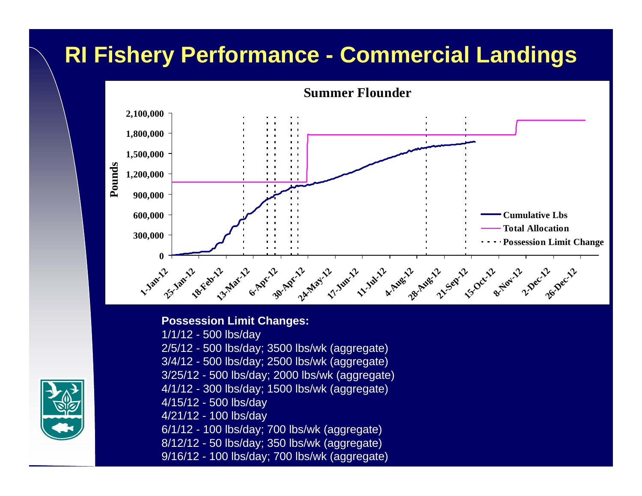# **RI Fishery Performance - Commercial Landings**



#### **Possession Limit Changes:**

1/1/12 - 500 lbs/day 2/5/12 - 500 lbs/day; 3500 lbs/wk (aggregate) 3/4/12 - 500 lbs/day; 2500 lbs/wk (aggregate) 3/25/12 - 500 lbs/day; 2000 lbs/wk (aggregate) 4/1/12 - 300 lbs/day; 1500 lbs/wk (aggregate) 4/15/12 - 500 lbs/day 4/21/12 - 100 lbs/day 6/1/12 - 100 lbs/day; 700 lbs/wk (aggregate) 8/12/12 - 50 lbs/day; 350 lbs/wk (aggregate) 9/16/12 - 100 lbs/day; 700 lbs/wk (aggregate)

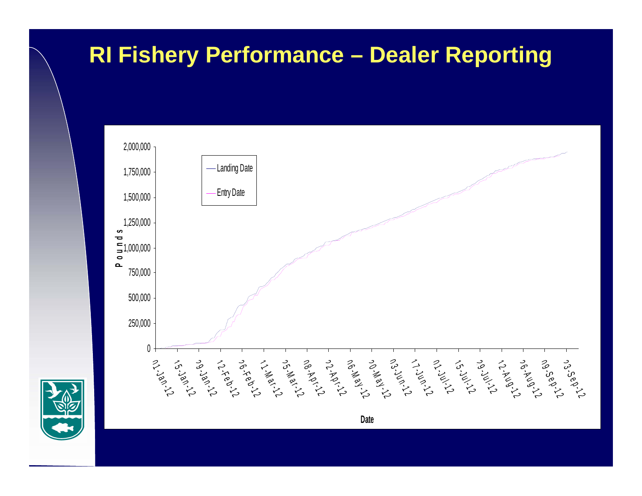## **RI Fishery Performance – Dealer Reporting**



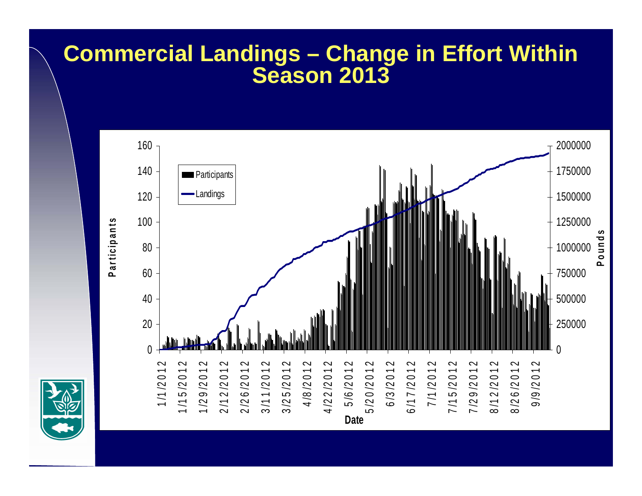#### **Commercial Landings – Change in Effort Within Season 2013**

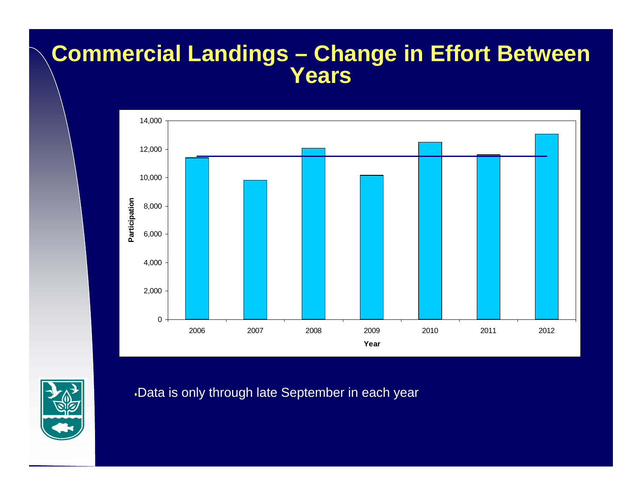#### **Commercial Landings – Change in Effort Between Years**





Data is only through late September in each year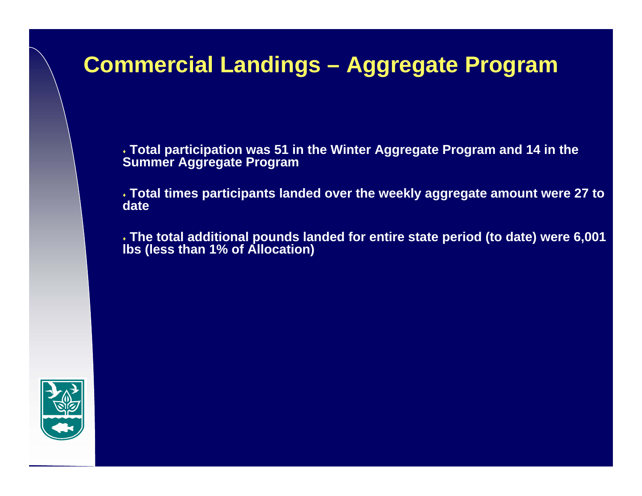## **Commercial Landings – Aggregate Program**

 **Total participation was 51 in the Winter Aggregate Program and 14 in the Summer Aggregate Program**

 **Total times participants landed over the weekly aggregate amount were 27 to date**

 **The total additional pounds landed for entire state period (to date) were 6,001 lbs (less than 1% of Allocation)**

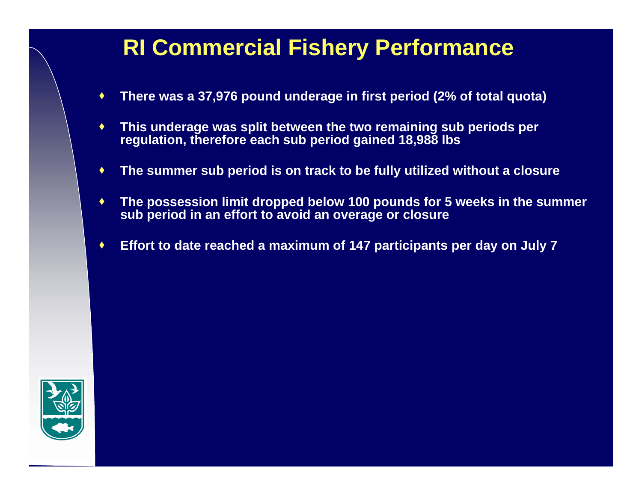## **RI Commercial Fishery Performance**

- $\blacklozenge$ **There was a 37,976 pound underage in first period (2% of total quota)**
- ۰ **This underage was split between the two remaining sub periods per regulation, therefore each sub period gained 18,988 lbs**
- ۰ **The summer sub period is on track to be fully utilized without a closure**
- ۰ **The possession limit dropped below 100 pounds for 5 weeks in the summer sub period in an effort to avoid an overage or closure**
- ٠ **Effort to date reached a maximum of 147 participants per day on July 7**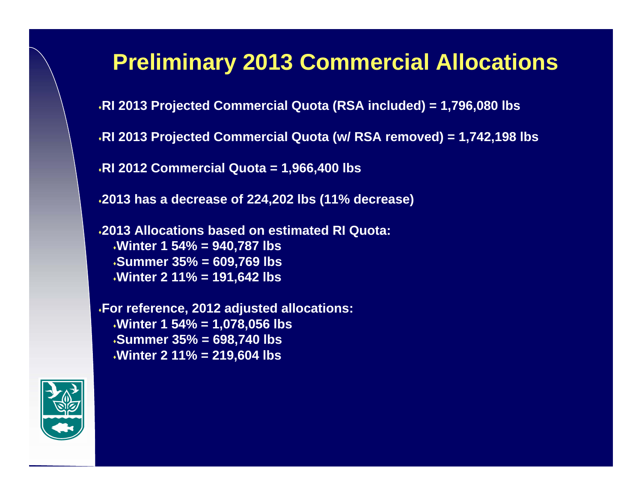## **Preliminary 2013 Commercial Allocations**

**RI 2013 Projected Commercial Quota (RSA included) = 1,796,080 lbs**

**RI 2013 Projected Commercial Quota (w/ RSA removed) = 1,742,198 lbs**

**RI 2012 Commercial Quota = 1,966,400 lbs**

**2013 has a decrease of 224,202 lbs (11% decrease)**

**2013 Allocations based on estimated RI Quota: Winter 1 54% = 940,787 lbs Summer 35% = 609,769 lbs Winter 2 11% = 191,642 lbs**

**For reference, 2012 adjusted allocations: Winter 1 54% = 1,078,056 lbs Summer 35% = 698,740 lbs Winter 2 11% = 219,604 lbs**

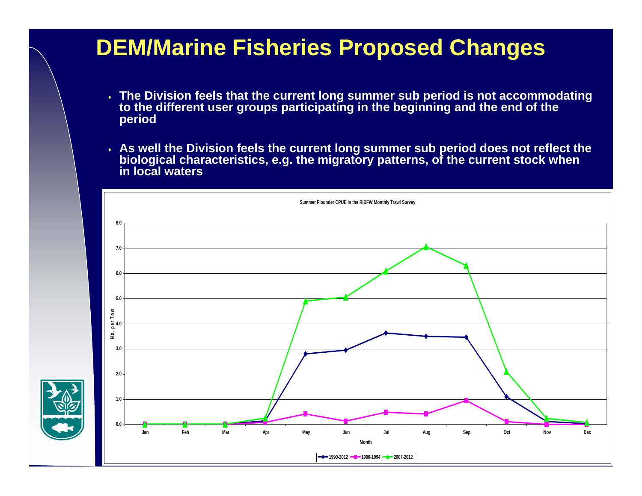## **DEM/Marine Fisheries Proposed Changes**

- **The Division feels that the current long summer sub period is not accommodating to the different user groups participating in the beginning and the end of the period**
- **As well the Division feels the current long summer sub period does not reflect the biological characteristics, e.g. the migratory patterns, of the current stock when in local waters**